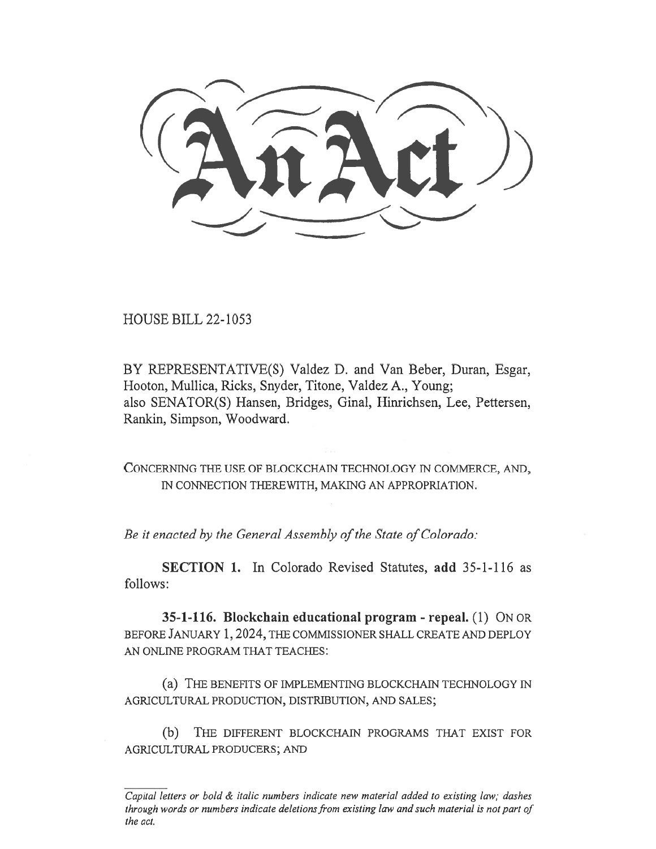HOUSE BILL 22-1053

BY REPRESENTATIVE(S) Valdez D. and Van Beber, Duran, Esgar, Hooton, Mullica, Ricks, Snyder, Titone, Valdez A., Young; also SENATOR(S) Hansen, Bridges, Ginal, Hinrichsen, Lee, Pettersen, Rankin, Simpson, Woodward.

CONCERNING THE USE OF BLOCKCHAIN TECHNOLOGY IN COMMERCE, AND, IN CONNECTION THEREWITH, MAKING AN APPROPRIATION.

Be it enacted by the General Assembly of the State of Colorado:

SECTION 1. In Colorado Revised Statutes, add 35-1-116 as follows:

35-1-116. Blockchain educational program - repeal. (1) ON OR BEFORE JANUARY 1, 2024, THE COMMISSIONER SHALL CREATE AND DEPLOY AN ONLINE PROGRAM THAT TEACHES:

(a) THE BENEFITS OF IMPLEMENTING BLOCKCHAIN TECHNOLOGY IN AGRICULTURAL PRODUCTION, DISTRIBUTION, AND SALES;

(b) THE DIFFERENT BLOCKCHAIN PROGRAMS THAT EXIST FOR AGRICULTURAL PRODUCERS; AND

 $\overline{Capital}$  letters or bold  $\&$  italic numbers indicate new material added to existing law; dashes through words or numbers indicate deletions from existing law and such material is not part of the act.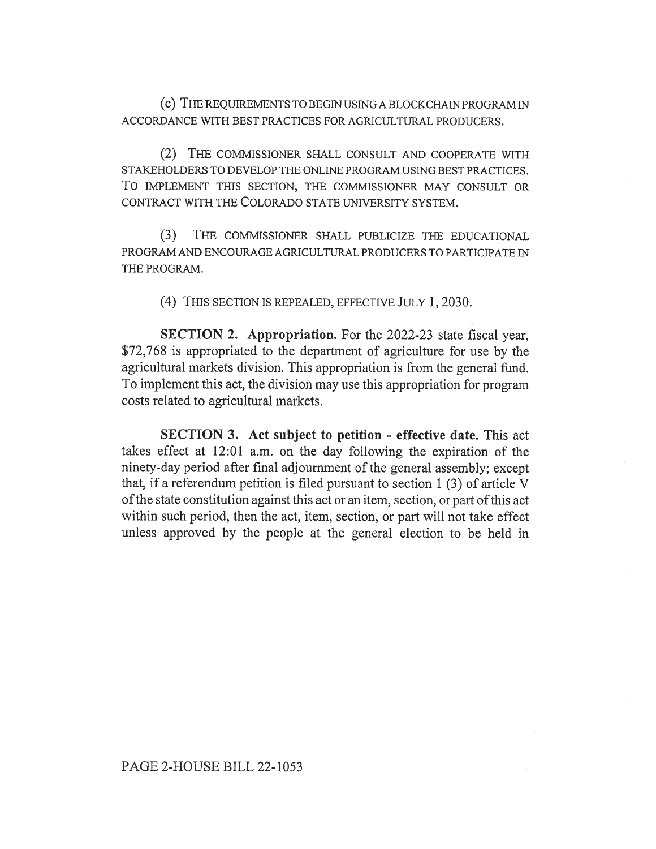(c) THE REQUIREMENTS TO BEGIN USING A BLOCKCHAIN PROGRAM IN ACCORDANCE WITH BEST PRACTICES FOR AGRICULTURAL PRODUCERS.

(2) THE COMMISSIONER SHALL CONSULT AND COOPERATE WITH STAKEHOLDERS TO DEVELOP THE ONLINE PROGRAM USING BEST PRACTICES. To IMPLEMENT THIS SECTION, THE COMMISSIONER MAY CONSULT OR CONTRACT WITH THE COLORADO STATE UNIVERSITY SYSTEM.

(3) THE COMMISSIONER SHALL PUBLICIZE THE EDUCATIONAL PROGRAM AND ENCOURAGE AGRICULTURAL PRODUCERS TO PARTICIPATE IN THE PROGRAM.

(4) THIS SECTION IS REPEALED, EFFECTIVE JULY 1, 2030.

SECTION 2. Appropriation. For the 2022-23 state fiscal year, \$72,768 is appropriated to the department of agriculture for use by the agricultural markets division. This appropriation is from the general fund. To implement this act, the division may use this appropriation for program costs related to agricultural markets.

SECTION 3. Act subject to petition - effective date. This act takes effect at 12:01 a.m. on the day following the expiration of the ninety-day period after final adjournment of the general assembly; except that, if a referendum petition is filed pursuant to section 1 (3) of article V of the state constitution against this act or an item, section, or part of this act within such period, then the act, item, section, or part will not take effect unless approved by the people at the general election to be held in